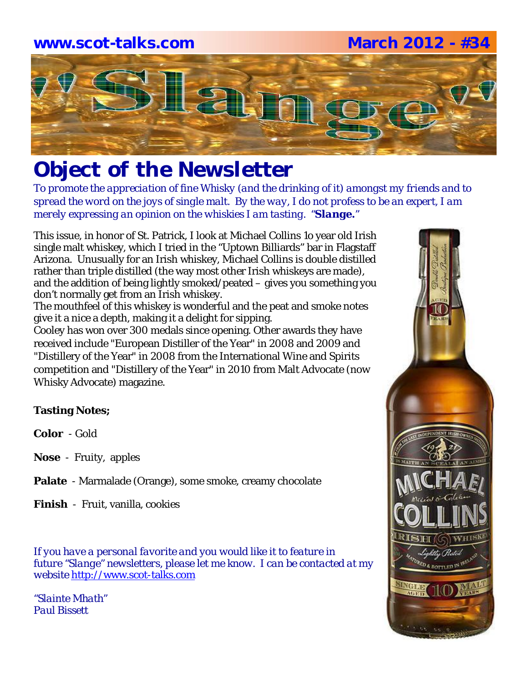### **www.scot-talks.com March 2012 - #34**



# *Object of the Newsletter*

*To promote the appreciation of fine Whisky (and the drinking of it) amongst my friends and to spread the word on the joys of single malt. By the way, I do not profess to be an expert, I am merely expressing an opinion on the whiskies I am tasting. "Slange."*

This issue, in honor of St. Patrick, I look at Michael Collins 1o year old Irish single malt whiskey, which I tried in the "Uptown Billiards" bar in Flagstaff Arizona. Unusually for an Irish whiskey, Michael Collins is double distilled rather than triple distilled (the way most other Irish whiskeys are made), and the addition of being lightly smoked/peated – gives you something you don't normally get from an Irish whiskey.

The mouthfeel of this whiskey is wonderful and the peat and smoke notes give it a nice a depth, making it a delight for sipping.

Cooley has won over 300 medals since opening. Other awards they have received include "European Distiller of the Year" in 2008 and 2009 and "Distillery of the Year" in 2008 from the International Wine and Spirits competition and "Distillery of the Year" in 2010 from Malt Advocate (now Whisky Advocate) magazine.

### **Tasting Notes;**

**Color** - Gold

- **Nose**  Fruity, apples
- **Palate**  Marmalade (Orange), some smoke, creamy chocolate

**Finish** - Fruit, vanilla, cookies

*If you have a personal favorite and you would like it to feature in future "Slange" newsletters, please let me know. I can be contacted at my website* http://www.scot-talks.com

*"Slainte Mhath" Paul Bissett*

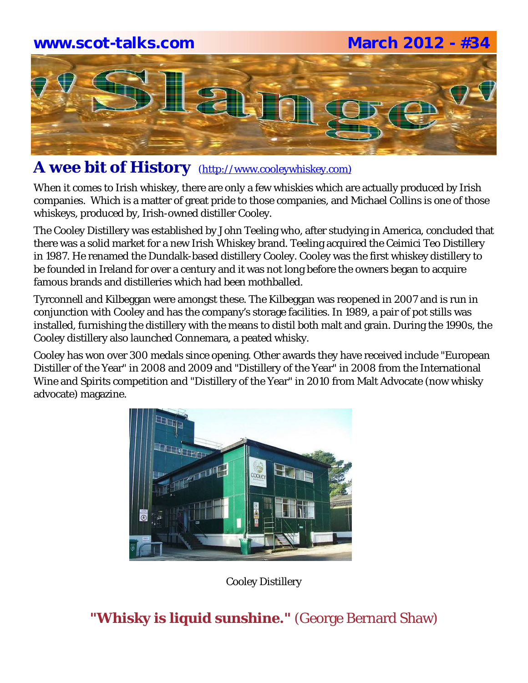### **www.scot-talks.com March 2012 - #34**



### A wee bit of History (http://www.cooleywhiskey.com)

When it comes to Irish whiskey, there are only a few whiskies which are actually produced by Irish companies. Which is a matter of great pride to those companies, and Michael Collins is one of those whiskeys, produced by, Irish-owned distiller Cooley.

The Cooley Distillery was established by John Teeling who, after studying in America, concluded that there was a solid market for a new Irish Whiskey brand. Teeling acquired the Ceimici Teo Distillery in 1987. He renamed the Dundalk-based distillery Cooley. Cooley was the first whiskey distillery to be founded in Ireland for over a century and it was not long before the owners began to acquire famous brands and distilleries which had been mothballed.

Tyrconnell and Kilbeggan were amongst these. The Kilbeggan was reopened in 2007 and is run in conjunction with Cooley and has the company's storage facilities. In 1989, a pair of pot stills was installed, furnishing the distillery with the means to distil both malt and grain. During the 1990s, the Cooley distillery also launched Connemara, a peated whisky.

Cooley has won over 300 medals since opening. Other awards they have received include "European Distiller of the Year" in 2008 and 2009 and "Distillery of the Year" in 2008 from the International Wine and Spirits competition and "Distillery of the Year" in 2010 from Malt Advocate (now whisky advocate) magazine.



Cooley Distillery

### **"Whisky is liquid sunshine."** (George Bernard Shaw)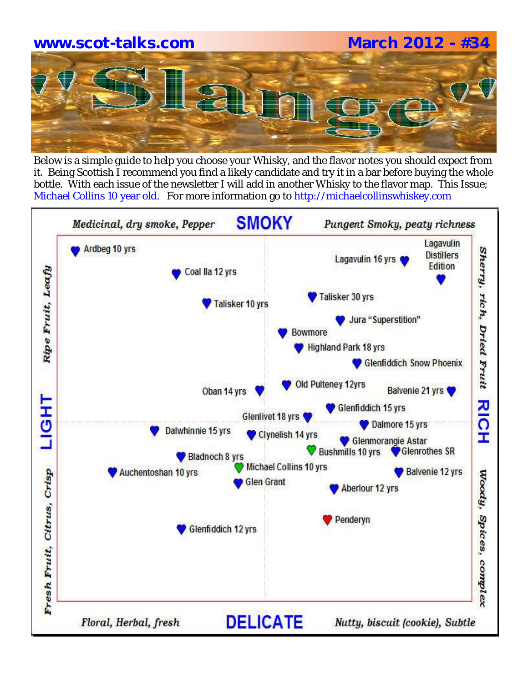

Below is a simple guide to help you choose your Whisky, and the flavor notes you should expect from it. Being Scottish I recommend you find a likely candidate and try it in a bar before buying the whole bottle. With each issue of the newsletter I will add in another Whisky to the flavor map. This Issue; Michael Collins 10 year old. For more information go to http://michaelcollinswhiskey.com

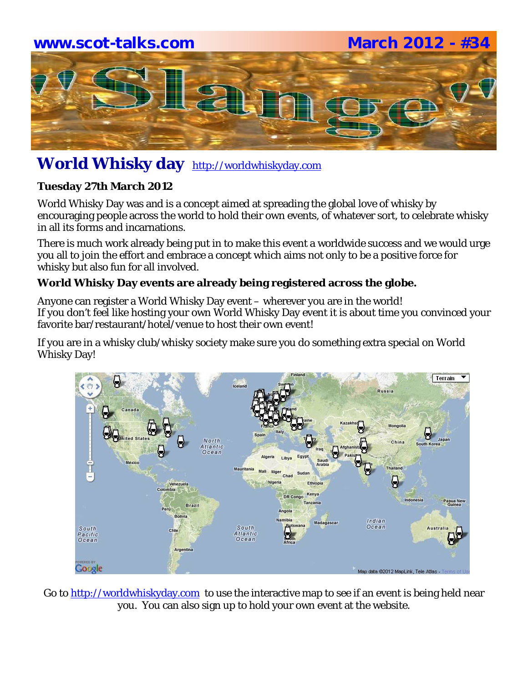# **www.scot-talks.com March 2012 - #34** 21

### **World Whisky day** http://worldwhiskyday.com

### **Tuesday 27th March 2012**

World Whisky Day was and is a concept aimed at spreading the global love of whisky by encouraging people across the world to hold their own events, of whatever sort, to celebrate whisky in all its forms and incarnations.

There is much work already being put in to make this event a worldwide success and we would urge you all to join the effort and embrace a concept which aims not only to be a positive force for whisky but also fun for all involved.

### **World Whisky Day events are already being registered across the globe.**

Anyone can register a World Whisky Day event – wherever you are in the world! If you don't feel like hosting your own World Whisky Day event it is about time you convinced your favorite bar/restaurant/hotel/venue to host their own event!

If you are in a whisky club/whisky society make sure you do something extra special on World Whisky Day!



Go to http://worldwhiskyday.com to use the interactive map to see if an event is being held near you. You can also sign up to hold your own event at the website.